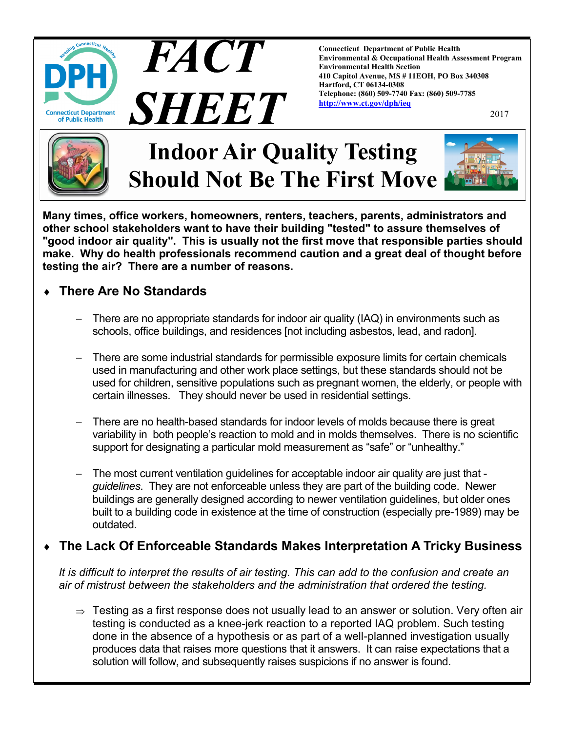

**Connecticut Department of Public Health Environmental & Occupational Health Assessment Program Environmental Health Section 410 Capitol Avenue, MS # 11EOH, PO Box 340308 Hartford, CT 06134-0308 Telephone: (860) 509-7740 Fax: (860) 509-7785 [http://www.ct.gov/dph/ieq](http://www.ct.gov/dph/IEQ)**

2017



# **Indoor Air Quality Testing Should Not Be The First Move**

**FACT** 

SHEET



**Many times, office workers, homeowners, renters, teachers, parents, administrators and other school stakeholders want to have their building "tested" to assure themselves of "good indoor air quality". This is usually not the first move that responsible parties should make. Why do health professionals recommend caution and a great deal of thought before testing the air? There are a number of reasons.**

## **There Are No Standards**

- There are no appropriate standards for indoor air quality (IAQ) in environments such as schools, office buildings, and residences [not including asbestos, lead, and radon].
- There are some industrial standards for permissible exposure limits for certain chemicals used in manufacturing and other work place settings, but these standards should not be used for children, sensitive populations such as pregnant women, the elderly, or people with certain illnesses. They should never be used in residential settings.
- There are no health-based standards for indoor levels of molds because there is great variability in both people's reaction to mold and in molds themselves. There is no scientific support for designating a particular mold measurement as "safe" or "unhealthy."
- The most current ventilation guidelines for acceptable indoor air quality are just that *guidelines*. They are not enforceable unless they are part of the building code. Newer buildings are generally designed according to newer ventilation guidelines, but older ones built to a building code in existence at the time of construction (especially pre-1989) may be outdated.

#### **The Lack Of Enforceable Standards Makes Interpretation A Tricky Business**

*It is difficult to interpret the results of air testing. This can add to the confusion and create an air of mistrust between the stakeholders and the administration that ordered the testing.*

 $\Rightarrow$  Testing as a first response does not usually lead to an answer or solution. Very often air testing is conducted as a knee-jerk reaction to a reported IAQ problem. Such testing done in the absence of a hypothesis or as part of a well-planned investigation usually produces data that raises more questions that it answers. It can raise expectations that a solution will follow, and subsequently raises suspicions if no answer is found.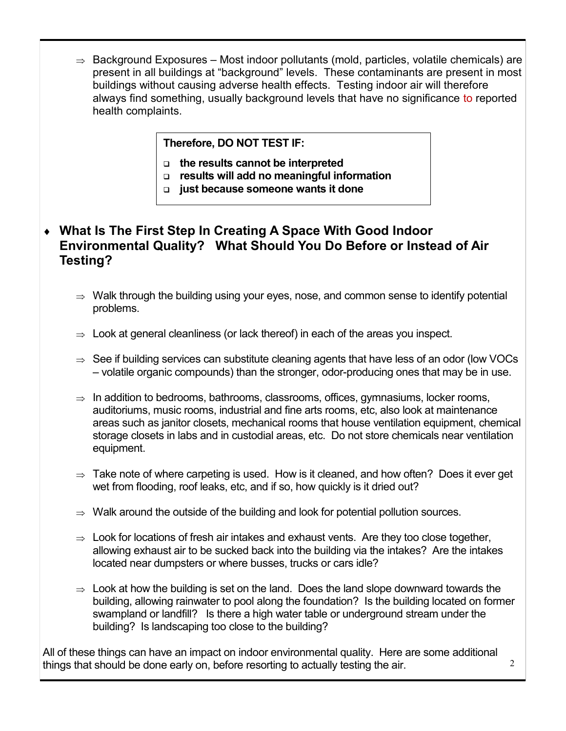$\Rightarrow$  Background Exposures – Most indoor pollutants (mold, particles, volatile chemicals) are present in all buildings at "background" levels. These contaminants are present in most buildings without causing adverse health effects. Testing indoor air will therefore always find something, usually background levels that have no significance to reported health complaints.

#### **Therefore, DO NOT TEST IF:**

- **the results cannot be interpreted**
- **results will add no meaningful information**
- **just because someone wants it done**

#### **What Is The First Step In Creating A Space With Good Indoor Environmental Quality? What Should You Do Before or Instead of Air Testing?**

- $\Rightarrow$  Walk through the building using your eyes, nose, and common sense to identify potential problems.
- $\Rightarrow$  Look at general cleanliness (or lack thereof) in each of the areas you inspect.
- $\Rightarrow$  See if building services can substitute cleaning agents that have less of an odor (low VOCs – volatile organic compounds) than the stronger, odor-producing ones that may be in use.
- $\Rightarrow$  In addition to bedrooms, bathrooms, classrooms, offices, gymnasiums, locker rooms, auditoriums, music rooms, industrial and fine arts rooms, etc, also look at maintenance areas such as janitor closets, mechanical rooms that house ventilation equipment, chemical storage closets in labs and in custodial areas, etc. Do not store chemicals near ventilation equipment.
- $\Rightarrow$  Take note of where carpeting is used. How is it cleaned, and how often? Does it ever get wet from flooding, roof leaks, etc, and if so, how quickly is it dried out?
- $\Rightarrow$  Walk around the outside of the building and look for potential pollution sources.
- $\Rightarrow$  Look for locations of fresh air intakes and exhaust vents. Are they too close together, allowing exhaust air to be sucked back into the building via the intakes? Are the intakes located near dumpsters or where busses, trucks or cars idle?
- $\Rightarrow$  Look at how the building is set on the land. Does the land slope downward towards the building, allowing rainwater to pool along the foundation? Is the building located on former swampland or landfill? Is there a high water table or underground stream under the building? Is landscaping too close to the building?

All of these things can have an impact on indoor environmental quality. Here are some additional things that should be done early on, before resorting to actually testing the air.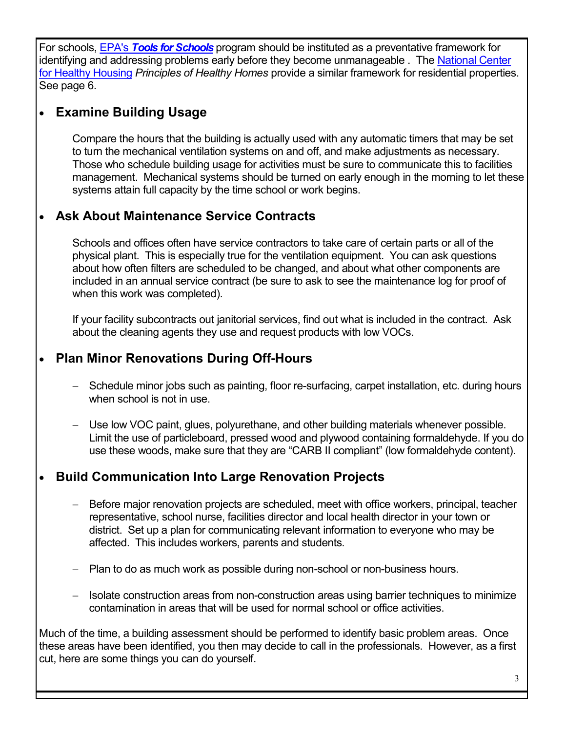For schools, EPA's *[Tools for Schools](https://www.epa.gov/iaq-schools)* program should be instituted as a preventative framework for identifying and addressing problems early before they become unmanageable. The National Center [for Healthy Housing](http://www.nchh.org/WhatWeDo/HealthyHomesPrinciples.aspx) *Principles of Healthy Homes* provide a similar framework for residential properties. See page 6.

## **Examine Building Usage**

Compare the hours that the building is actually used with any automatic timers that may be set to turn the mechanical ventilation systems on and off, and make adjustments as necessary. Those who schedule building usage for activities must be sure to communicate this to facilities management. Mechanical systems should be turned on early enough in the morning to let these systems attain full capacity by the time school or work begins.

## **Ask About Maintenance Service Contracts**

Schools and offices often have service contractors to take care of certain parts or all of the physical plant. This is especially true for the ventilation equipment. You can ask questions about how often filters are scheduled to be changed, and about what other components are included in an annual service contract (be sure to ask to see the maintenance log for proof of when this work was completed).

If your facility subcontracts out janitorial services, find out what is included in the contract. Ask about the cleaning agents they use and request products with low VOCs.

## **Plan Minor Renovations During Off-Hours**

- Schedule minor jobs such as painting, floor re-surfacing, carpet installation, etc. during hours when school is not in use.
- Use low VOC paint, glues, polyurethane, and other building materials whenever possible. Limit the use of particleboard, pressed wood and plywood containing formaldehyde. If you do use these woods, make sure that they are "CARB II compliant" (low formaldehyde content).

## **Build Communication Into Large Renovation Projects**

- Before major renovation projects are scheduled, meet with office workers, principal, teacher representative, school nurse, facilities director and local health director in your town or district. Set up a plan for communicating relevant information to everyone who may be affected. This includes workers, parents and students.
- Plan to do as much work as possible during non-school or non-business hours.
- Isolate construction areas from non-construction areas using barrier techniques to minimize contamination in areas that will be used for normal school or office activities.

Much of the time, a building assessment should be performed to identify basic problem areas. Once these areas have been identified, you then may decide to call in the professionals. However, as a first cut, here are some things you can do yourself.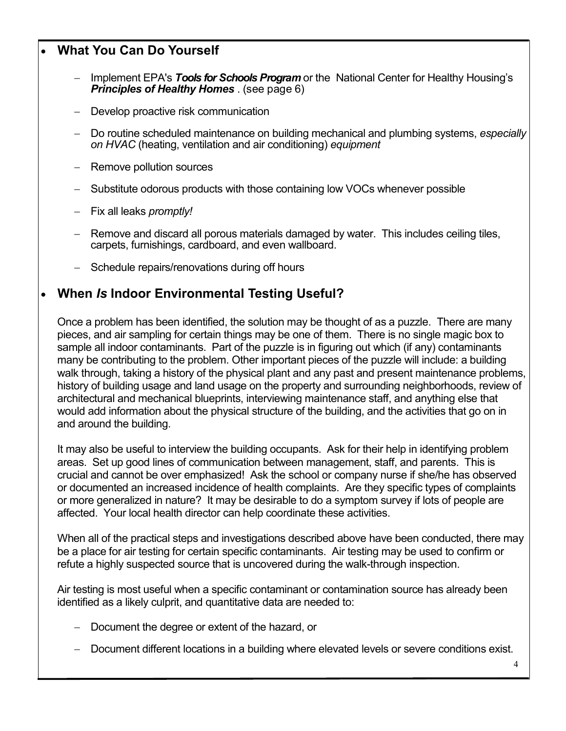## **What You Can Do Yourself**

- Implement EPA's *Tools for Schools Program* or the National Center for Healthy Housing's *Principles of Healthy Homes* . (see page 6)
- Develop proactive risk communication
- Do routine scheduled maintenance on building mechanical and plumbing systems, *especially on HVAC* (heating, ventilation and air conditioning) *equipment*
- Remove pollution sources
- Substitute odorous products with those containing low VOCs whenever possible
- Fix all leaks *promptly!*
- Remove and discard all porous materials damaged by water. This includes ceiling tiles, carpets, furnishings, cardboard, and even wallboard.
- Schedule repairs/renovations during off hours

### **When** *Is* **Indoor Environmental Testing Useful?**

Once a problem has been identified, the solution may be thought of as a puzzle. There are many pieces, and air sampling for certain things may be one of them. There is no single magic box to sample all indoor contaminants. Part of the puzzle is in figuring out which (if any) contaminants many be contributing to the problem. Other important pieces of the puzzle will include: a building walk through, taking a history of the physical plant and any past and present maintenance problems, history of building usage and land usage on the property and surrounding neighborhoods, review of architectural and mechanical blueprints, interviewing maintenance staff, and anything else that would add information about the physical structure of the building, and the activities that go on in and around the building.

It may also be useful to interview the building occupants. Ask for their help in identifying problem areas. Set up good lines of communication between management, staff, and parents. This is crucial and cannot be over emphasized! Ask the school or company nurse if she/he has observed or documented an increased incidence of health complaints. Are they specific types of complaints or more generalized in nature? It may be desirable to do a symptom survey if lots of people are affected. Your local health director can help coordinate these activities.

When all of the practical steps and investigations described above have been conducted, there may be a place for air testing for certain specific contaminants. Air testing may be used to confirm or refute a highly suspected source that is uncovered during the walk-through inspection.

Air testing is most useful when a specific contaminant or contamination source has already been identified as a likely culprit, and quantitative data are needed to:

- Document the degree or extent of the hazard, or
- Document different locations in a building where elevated levels or severe conditions exist.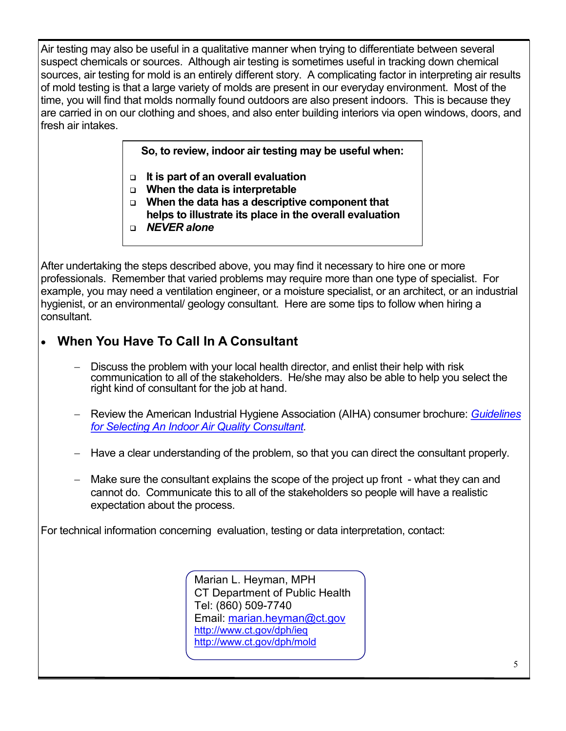Air testing may also be useful in a qualitative manner when trying to differentiate between several suspect chemicals or sources. Although air testing is sometimes useful in tracking down chemical sources, air testing for mold is an entirely different story. A complicating factor in interpreting air results of mold testing is that a large variety of molds are present in our everyday environment. Most of the time, you will find that molds normally found outdoors are also present indoors. This is because they are carried in on our clothing and shoes, and also enter building interiors via open windows, doors, and fresh air intakes.

**So, to review, indoor air testing may be useful when:**

- **It is part of an overall evaluation**
- **When the data is interpretable**
- **When the data has a descriptive component that**
- **helps to illustrate its place in the overall evaluation**
- *NEVER alone*

After undertaking the steps described above, you may find it necessary to hire one or more professionals. Remember that varied problems may require more than one type of specialist. For example, you may need a ventilation engineer, or a moisture specialist, or an architect, or an industrial hygienist, or an environmental/ geology consultant. Here are some tips to follow when hiring a consultant.

## **When You Have To Call In A Consultant**

- Discuss the problem with your local health director, and enlist their help with risk communication to all of the stakeholders. He/she may also be able to help you select the right kind of consultant for the job at hand.
- Review the American Industrial Hygiene Association (AIHA) consumer brochure: *[Guidelines](https://www.aiha.org/about-aiha/Press/ConsumerBrochures/Guidelines%20for%20Selecting%20An%20Indoor%20Air%20Quality%20Consultant.pdf)  [for Selecting An Indoor Air Quality Consultant.](https://www.aiha.org/about-aiha/Press/ConsumerBrochures/Guidelines%20for%20Selecting%20An%20Indoor%20Air%20Quality%20Consultant.pdf)*
- Have a clear understanding of the problem, so that you can direct the consultant properly.
- Make sure the consultant explains the scope of the project up front what they can and cannot do. Communicate this to all of the stakeholders so people will have a realistic expectation about the process.

For technical information concerning evaluation, testing or data interpretation, contact:

Marian L. Heyman, MPH CT Department of Public Health Tel: (860) 509-7740 Email: [marian.heyman@ct.gov](mailto:marian.heyman@ct.gov) <http://www.ct.gov/dph/ieq> <http://www.ct.gov/dph/mold>